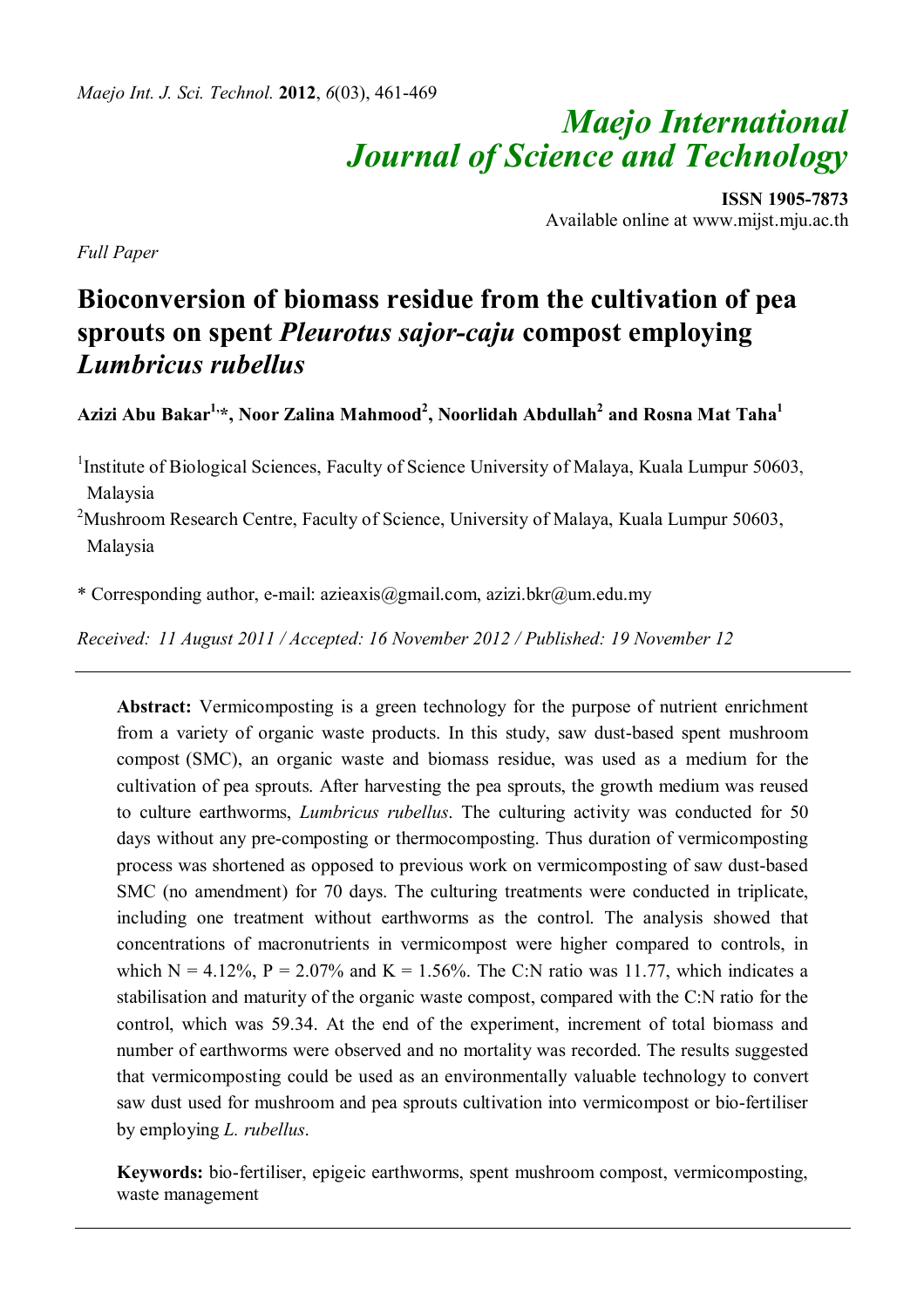# *Maejo International Journal of Science and Technology*

**ISSN 1905-7873** Available online at www.mijst.mju.ac.th

*Full Paper*

# **Bioconversion of biomass residue from the cultivation of pea sprouts on spent** *Pleurotus sajor-caju* **compost employing**  *Lumbricus rubellus*

**Azizi Abu Bakar1, \*, Noor Zalina Mahmood<sup>2</sup> , Noorlidah Abdullah<sup>2</sup> and Rosna Mat Taha<sup>1</sup>**

<sup>1</sup>Institute of Biological Sciences, Faculty of Science University of Malaya, Kuala Lumpur 50603, Malaysia

<sup>2</sup>Mushroom Research Centre, Faculty of Science, University of Malaya, Kuala Lumpur 50603, Malaysia

\* Corresponding author, e-mail: azieaxis@gmail.com, azizi.bkr@um.edu.my

*Received: 11 August 2011 / Accepted: 16 November 2012 / Published: 19 November 12*

**Abstract:** Vermicomposting is a green technology for the purpose of nutrient enrichment from a variety of organic waste products. In this study, saw dust-based spent mushroom compost (SMC), an organic waste and biomass residue, was used as a medium for the cultivation of pea sprouts. After harvesting the pea sprouts, the growth medium was reused to culture earthworms, *Lumbricus rubellus*. The culturing activity was conducted for 50 days without any pre-composting or thermocomposting. Thus duration of vermicomposting process was shortened as opposed to previous work on vermicomposting of saw dust-based SMC (no amendment) for 70 days. The culturing treatments were conducted in triplicate, including one treatment without earthworms as the control. The analysis showed that concentrations of macronutrients in vermicompost were higher compared to controls, in which  $N = 4.12\%$ ,  $P = 2.07\%$  and  $K = 1.56\%$ . The C:N ratio was 11.77, which indicates a stabilisation and maturity of the organic waste compost, compared with the C:N ratio for the control, which was 59.34. At the end of the experiment, increment of total biomass and number of earthworms were observed and no mortality was recorded. The results suggested that vermicomposting could be used as an environmentally valuable technology to convert saw dust used for mushroom and pea sprouts cultivation into vermicompost or bio-fertiliser by employing *L. rubellus*.

**Keywords:** bio-fertiliser, epigeic earthworms, spent mushroom compost, vermicomposting, waste management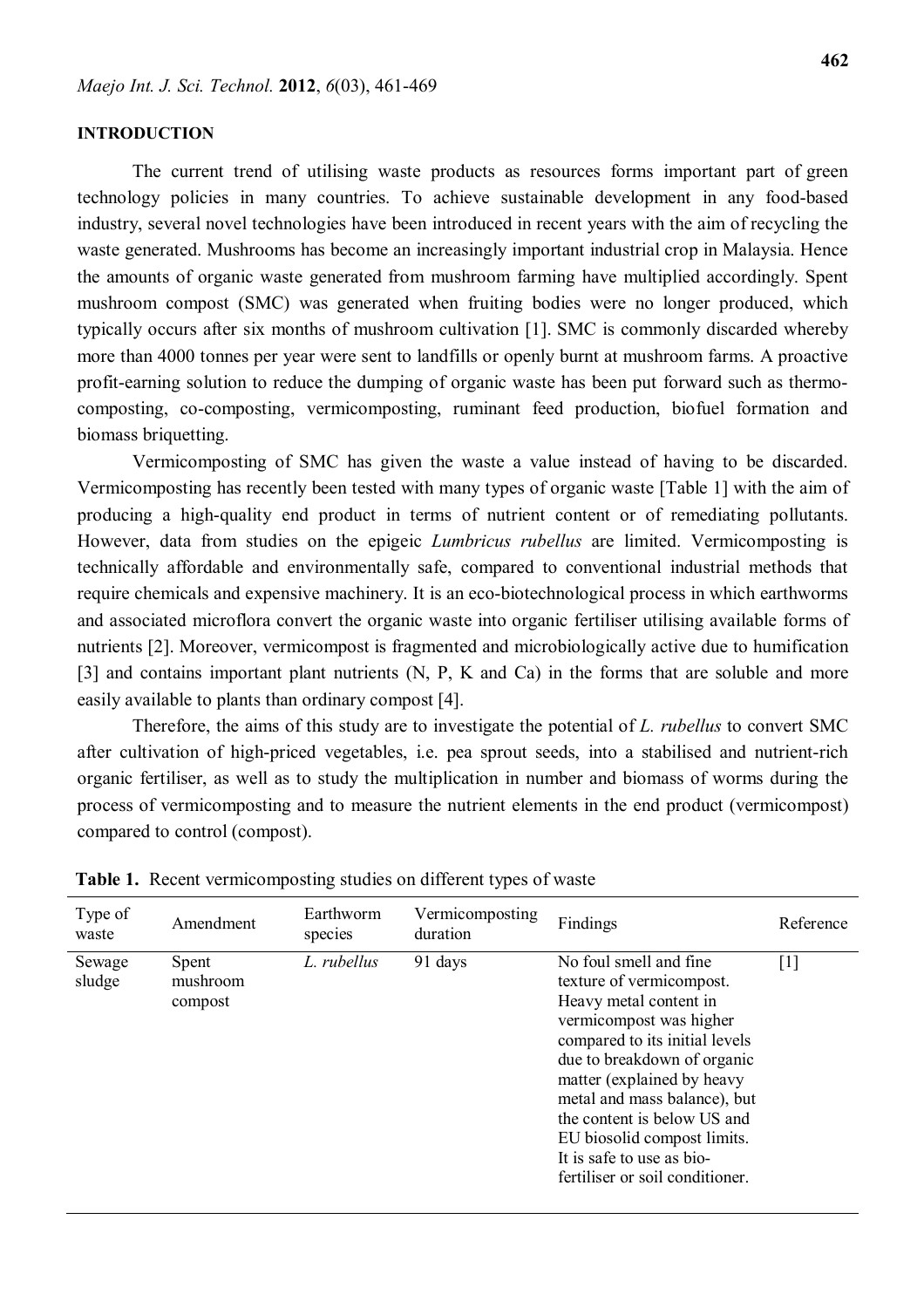#### **INTRODUCTION**

The current trend of utilising waste products as resources forms important part of green technology policies in many countries. To achieve sustainable development in any food-based industry, several novel technologies have been introduced in recent years with the aim of recycling the waste generated. Mushrooms has become an increasingly important industrial crop in Malaysia. Hence the amounts of organic waste generated from mushroom farming have multiplied accordingly. Spent mushroom compost (SMC) was generated when fruiting bodies were no longer produced, which typically occurs after six months of mushroom cultivation [1]. SMC is commonly discarded whereby more than 4000 tonnes per year were sent to landfills or openly burnt at mushroom farms. A proactive profit-earning solution to reduce the dumping of organic waste has been put forward such as thermocomposting, co-composting, vermicomposting, ruminant feed production, biofuel formation and biomass briquetting.

Vermicomposting of SMC has given the waste a value instead of having to be discarded. Vermicomposting has recently been tested with many types of organic waste [Table 1] with the aim of producing a high-quality end product in terms of nutrient content or of remediating pollutants. However, data from studies on the epigeic *Lumbricus rubellus* are limited. Vermicomposting is technically affordable and environmentally safe, compared to conventional industrial methods that require chemicals and expensive machinery. It is an eco-biotechnological process in which earthworms and associated microflora convert the organic waste into organic fertiliser utilising available forms of nutrients [2]. Moreover, vermicompost is fragmented and microbiologically active due to humification [3] and contains important plant nutrients (N, P, K and Ca) in the forms that are soluble and more easily available to plants than ordinary compost [4].

Therefore, the aims of this study are to investigate the potential of *L. rubellus* to convert SMC after cultivation of high-priced vegetables, i.e. pea sprout seeds, into a stabilised and nutrient-rich organic fertiliser, as well as to study the multiplication in number and biomass of worms during the process of vermicomposting and to measure the nutrient elements in the end product (vermicompost) compared to control (compost).

| Type of<br>waste | Amendment                    | Earthworm<br>species | Vermicomposting<br>duration | Findings                                                                                                                                                                                                                                                                                                                                                              | Reference         |
|------------------|------------------------------|----------------------|-----------------------------|-----------------------------------------------------------------------------------------------------------------------------------------------------------------------------------------------------------------------------------------------------------------------------------------------------------------------------------------------------------------------|-------------------|
| Sewage<br>sludge | Spent<br>mushroom<br>compost | L. rubellus          | 91 days                     | No foul smell and fine.<br>texture of vermicompost.<br>Heavy metal content in<br>vermicompost was higher<br>compared to its initial levels<br>due to breakdown of organic<br>matter (explained by heavy<br>metal and mass balance), but<br>the content is below US and<br>EU biosolid compost limits.<br>It is safe to use as bio-<br>fertiliser or soil conditioner. | $\lceil 1 \rceil$ |

**Table 1.** Recent vermicomposting studies on different types of waste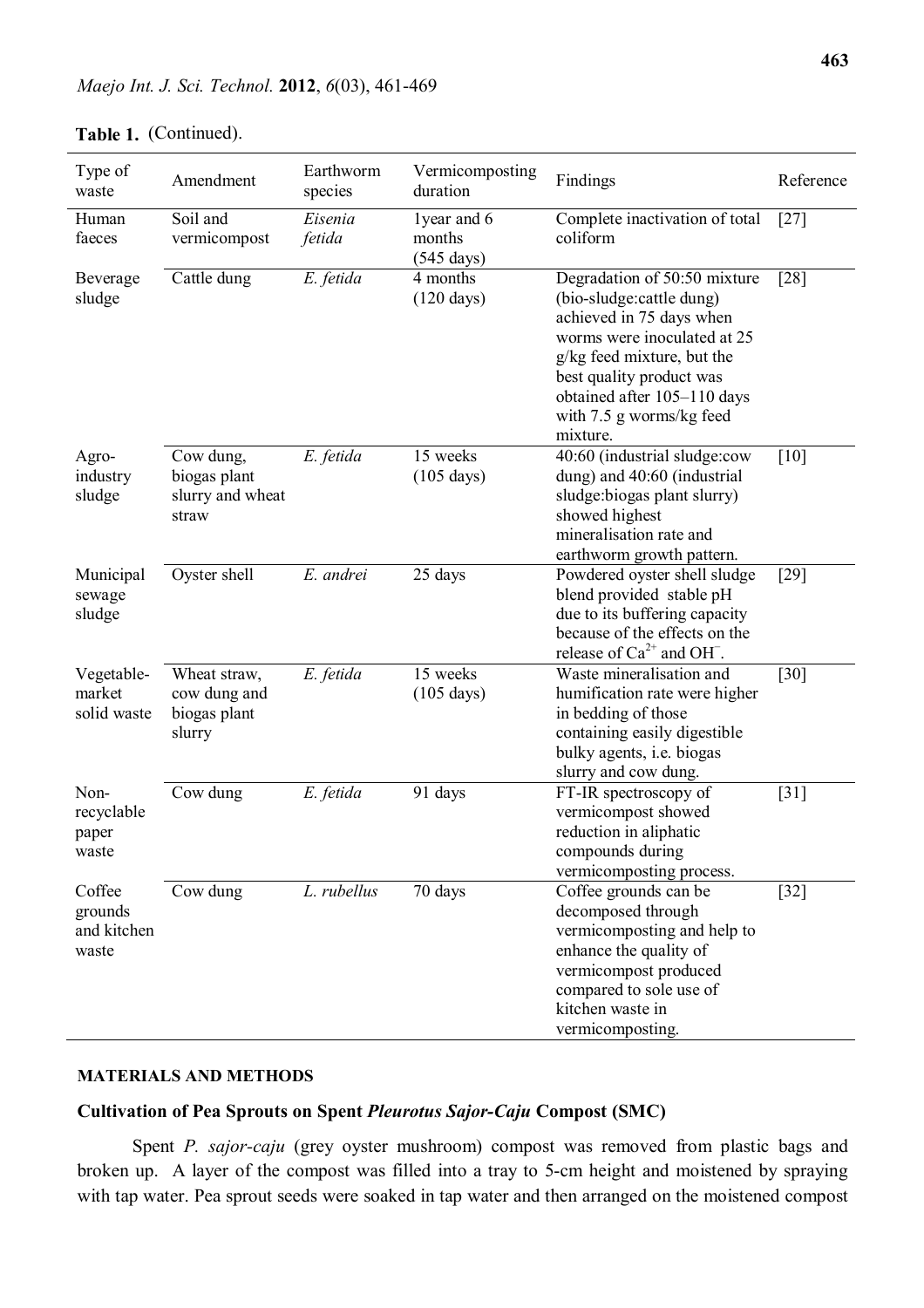| Type of<br>waste                          | Amendment                                              | Earthworm<br>species | Vermicomposting<br>duration                   | Findings                                                                                                                                                                                                                                             | Reference |
|-------------------------------------------|--------------------------------------------------------|----------------------|-----------------------------------------------|------------------------------------------------------------------------------------------------------------------------------------------------------------------------------------------------------------------------------------------------------|-----------|
| Human<br>faeces                           | Soil and<br>vermicompost                               | Eisenia<br>fetida    | 1year and 6<br>months<br>$(545 \text{ days})$ | Complete inactivation of total<br>coliform                                                                                                                                                                                                           | $[27]$    |
| Beverage<br>sludge                        | Cattle dung                                            | E. fetida            | 4 months<br>$(120 \text{ days})$              | Degradation of 50:50 mixture<br>(bio-sludge:cattle dung)<br>achieved in 75 days when<br>worms were inoculated at 25<br>g/kg feed mixture, but the<br>best quality product was<br>obtained after 105-110 days<br>with 7.5 g worms/kg feed<br>mixture. | $[28]$    |
| Agro-<br>industry<br>sludge               | Cow dung,<br>biogas plant<br>slurry and wheat<br>straw | E. fetida            | 15 weeks<br>$(105 \text{ days})$              | 40:60 (industrial sludge:cow<br>dung) and 40:60 (industrial<br>sludge: biogas plant slurry)<br>showed highest<br>mineralisation rate and<br>earthworm growth pattern.                                                                                | $[10]$    |
| Municipal<br>sewage<br>sludge             | Oyster shell                                           | E. andrei            | 25 days                                       | Powdered oyster shell sludge<br>blend provided stable pH<br>due to its buffering capacity<br>because of the effects on the<br>release of $Ca^{2+}$ and OH.                                                                                           | $[29]$    |
| Vegetable-<br>market<br>solid waste       | Wheat straw,<br>cow dung and<br>biogas plant<br>slurry | E. fetida            | 15 weeks<br>$(105 \text{ days})$              | Waste mineralisation and<br>humification rate were higher<br>in bedding of those<br>containing easily digestible<br>bulky agents, i.e. biogas<br>slurry and cow dung.                                                                                | $[30]$    |
| Non-<br>recyclable<br>paper<br>waste      | Cow dung                                               | E. fetida            | 91 days                                       | FT-IR spectroscopy of<br>vermicompost showed<br>reduction in aliphatic<br>compounds during<br>vermicomposting process.                                                                                                                               | $[31]$    |
| Coffee<br>grounds<br>and kitchen<br>waste | Cow dung                                               | L. rubellus          | 70 days                                       | Coffee grounds can be<br>decomposed through<br>vermicomposting and help to<br>enhance the quality of<br>vermicompost produced<br>compared to sole use of<br>kitchen waste in<br>vermicomposting.                                                     | $[32]$    |

# **Table 1.**  (Continued).

#### **MATERIALS AND METHODS**

# **Cultivation of Pea Sprouts on Spent** *Pleurotus Sajor-Caju* **Compost (SMC)**

Spent *P. sajor-caju* (grey oyster mushroom) compost was removed from plastic bags and broken up. A layer of the compost was filled into a tray to 5-cm height and moistened by spraying with tap water. Pea sprout seeds were soaked in tap water and then arranged on the moistened compost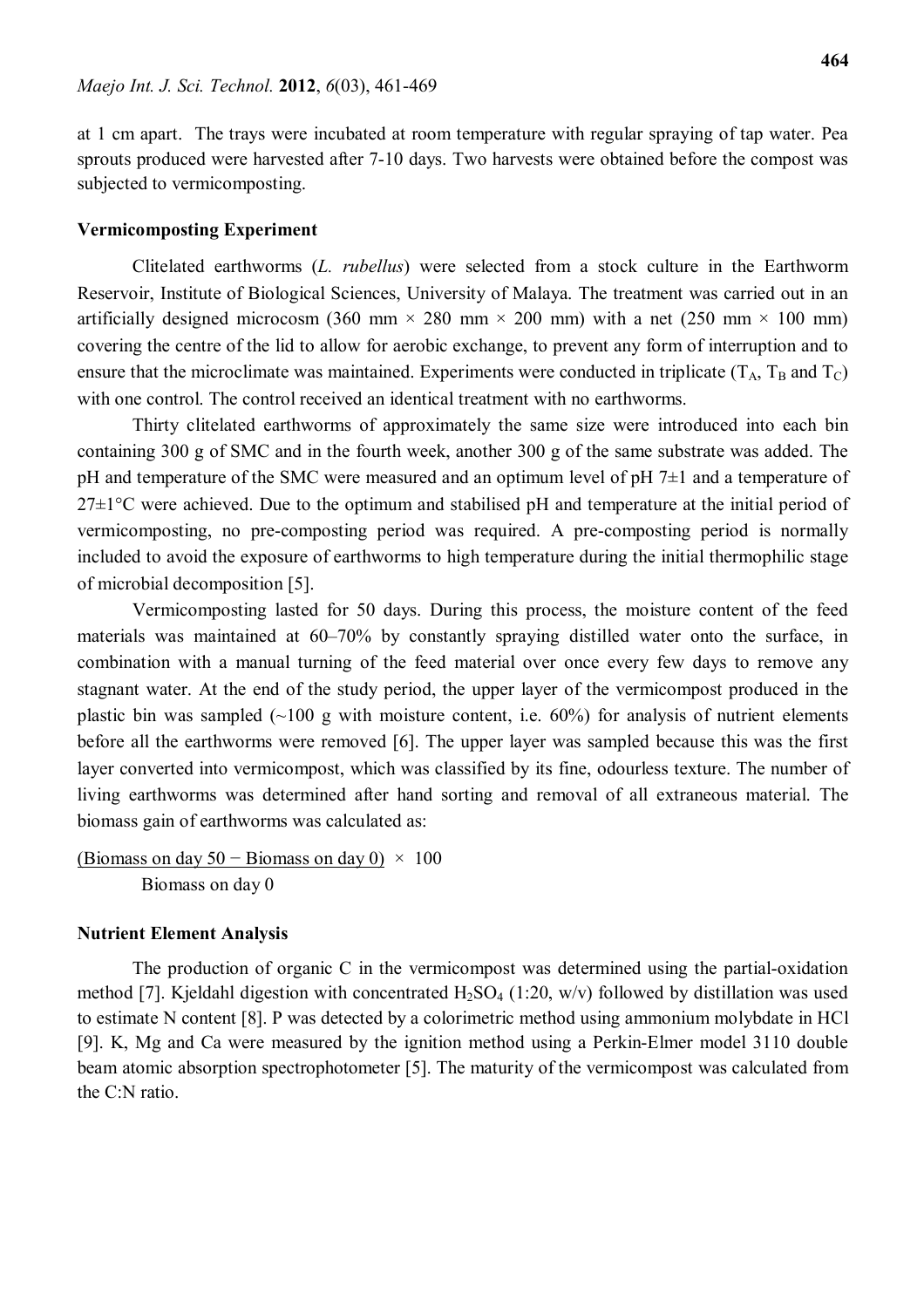at 1 cm apart. The trays were incubated at room temperature with regular spraying of tap water. Pea sprouts produced were harvested after 7-10 days. Two harvests were obtained before the compost was subjected to vermicomposting.

### **Vermicomposting Experiment**

Clitelated earthworms (*L. rubellus*) were selected from a stock culture in the Earthworm Reservoir, Institute of Biological Sciences, University of Malaya. The treatment was carried out in an artificially designed microcosm (360 mm  $\times$  280 mm  $\times$  200 mm) with a net (250 mm  $\times$  100 mm) covering the centre of the lid to allow for aerobic exchange, to prevent any form of interruption and to ensure that the microclimate was maintained. Experiments were conducted in triplicate  $(T_A, T_B \text{ and } T_C)$ with one control. The control received an identical treatment with no earthworms.

Thirty clitelated earthworms of approximately the same size were introduced into each bin containing 300 g of SMC and in the fourth week, another 300 g of the same substrate was added. The pH and temperature of the SMC were measured and an optimum level of  $pH 7 $\pm 1$  and a temperature of$  $27\pm1\degree$ C were achieved. Due to the optimum and stabilised pH and temperature at the initial period of vermicomposting, no pre-composting period was required. A pre-composting period is normally included to avoid the exposure of earthworms to high temperature during the initial thermophilic stage of microbial decomposition [5].

Vermicomposting lasted for 50 days. During this process, the moisture content of the feed materials was maintained at 60–70% by constantly spraying distilled water onto the surface, in combination with a manual turning of the feed material over once every few days to remove any stagnant water. At the end of the study period, the upper layer of the vermicompost produced in the plastic bin was sampled  $(\sim 100 \text{ g}$  with moisture content, i.e. 60%) for analysis of nutrient elements before all the earthworms were removed [6]. The upper layer was sampled because this was the first layer converted into vermicompost, which was classified by its fine, odourless texture. The number of living earthworms was determined after hand sorting and removal of all extraneous material. The biomass gain of earthworms was calculated as:

(Biomass on day 50 – Biomass on day 0)  $\times$  100 Biomass on day 0

#### **Nutrient Element Analysis**

The production of organic C in the vermicompost was determined using the partial-oxidation method [7]. Kjeldahl digestion with concentrated  $H_2SO_4$  (1:20, w/v) followed by distillation was used to estimate N content [8]. P was detected by a colorimetric method using ammonium molybdate in HCl [9]. K, Mg and Ca were measured by the ignition method using a Perkin-Elmer model 3110 double beam atomic absorption spectrophotometer [5]. The maturity of the vermicompost was calculated from the C:N ratio.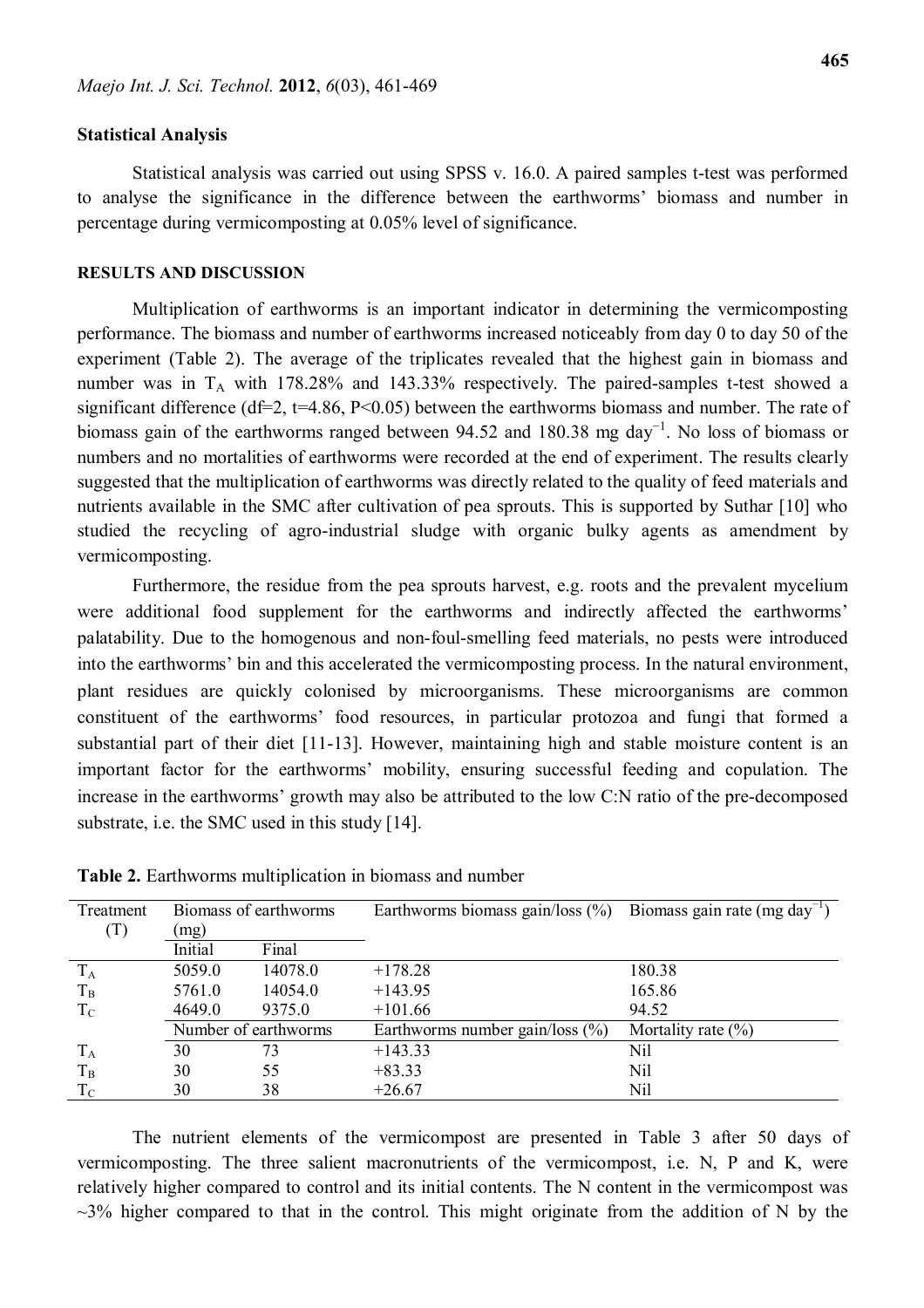## **Statistical Analysis**

Statistical analysis was carried out using SPSS v. 16.0. A paired samples t-test was performed to analyse the significance in the difference between the earthworms' biomass and number in percentage during vermicomposting at 0.05% level of significance.

#### **RESULTS AND DISCUSSION**

Multiplication of earthworms is an important indicator in determining the vermicomposting performance. The biomass and number of earthworms increased noticeably from day 0 to day 50 of the experiment (Table 2). The average of the triplicates revealed that the highest gain in biomass and number was in  $T_A$  with 178.28% and 143.33% respectively. The paired-samples t-test showed a significant difference ( $df=2$ ,  $t=4.86$ ,  $P<0.05$ ) between the earthworms biomass and number. The rate of biomass gain of the earthworms ranged between 94.52 and 180.38 mg day<sup>-1</sup>. No loss of biomass or numbers and no mortalities of earthworms were recorded at the end of experiment. The results clearly suggested that the multiplication of earthworms was directly related to the quality of feed materials and nutrients available in the SMC after cultivation of pea sprouts. This is supported by Suthar [10] who studied the recycling of agro-industrial sludge with organic bulky agents as amendment by vermicomposting.

Furthermore, the residue from the pea sprouts harvest, e.g. roots and the prevalent mycelium were additional food supplement for the earthworms and indirectly affected the earthworms' palatability. Due to the homogenous and non-foul-smelling feed materials, no pests were introduced into the earthworms' bin and this accelerated the vermicomposting process. In the natural environment, plant residues are quickly colonised by microorganisms. These microorganisms are common constituent of the earthworms' food resources, in particular protozoa and fungi that formed a substantial part of their diet [11-13]. However, maintaining high and stable moisture content is an important factor for the earthworms' mobility, ensuring successful feeding and copulation. The increase in the earthworms' growth may also be attributed to the low C:N ratio of the pre-decomposed substrate, i.e. the SMC used in this study [14].

| Treatment      | Biomass of earthworms |         | Earthworms biomass gain/loss $(\% )$ | Biomass gain rate (mg day <sup>-1</sup> ) |
|----------------|-----------------------|---------|--------------------------------------|-------------------------------------------|
| $(\mathrm{T})$ | (mg)                  |         |                                      |                                           |
|                | Initial               | Final   |                                      |                                           |
| $T_A$          | 5059.0                | 14078.0 | $+178.28$                            | 180.38                                    |
| $T_B$          | 5761.0                | 14054.0 | $+143.95$                            | 165.86                                    |
| $T_{\rm C}$    | 4649.0                | 9375.0  | $+101.66$                            | 94.52                                     |
|                | Number of earthworms  |         | Earthworms number gain/loss $(\%)$   | Mortality rate $(\% )$                    |
| $T_A$          | 30                    | 73      | $+143.33$                            | Nil                                       |
| $T_B$          | 30                    | 55      | $+83.33$                             | Nil                                       |
| $T_{\rm C}$    | 30                    | 38      | $+26.67$                             | Nil                                       |

**Table 2.** Earthworms multiplication in biomass and number

The nutrient elements of the vermicompost are presented in Table 3 after 50 days of vermicomposting. The three salient macronutrients of the vermicompost, i.e. N, P and K, were relatively higher compared to control and its initial contents. The N content in the vermicompost was  $\sim$ 3% higher compared to that in the control. This might originate from the addition of N by the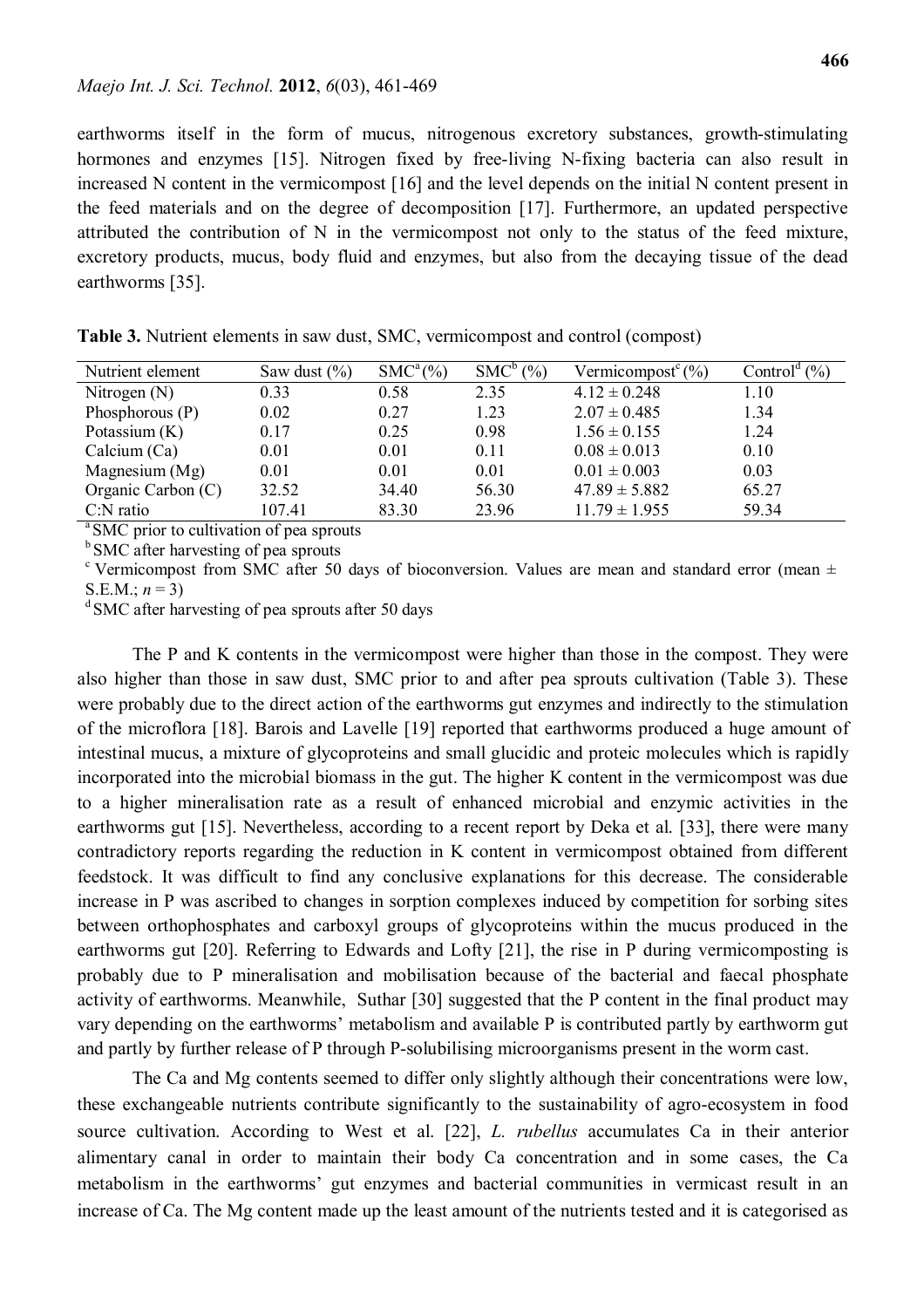earthworms itself in the form of mucus, nitrogenous excretory substances, growth-stimulating hormones and enzymes [15]. Nitrogen fixed by free-living N-fixing bacteria can also result in increased N content in the vermicompost [16] and the level depends on the initial N content present in the feed materials and on the degree of decomposition [17]. Furthermore, an updated perspective attributed the contribution of N in the vermicompost not only to the status of the feed mixture, excretory products, mucus, body fluid and enzymes, but also from the decaying tissue of the dead earthworms [35].

| Nutrient element   | Saw dust $(\% )$ | $SMC^a(\%)$ | $SMC^b$ (%) | Vermicompost <sup>c</sup> $(\%)$ | $1^d$ (%)<br>Control |
|--------------------|------------------|-------------|-------------|----------------------------------|----------------------|
| Nitrogen $(N)$     | 0.33             | 0.58        | 2.35        | $4.12 \pm 0.248$                 | 1.10                 |
| Phosphorous $(P)$  | 0.02             | 0.27        | 1.23        | $2.07 \pm 0.485$                 | 1.34                 |
| Potassium $(K)$    | 0.17             | 0.25        | 0.98        | $1.56 \pm 0.155$                 | 1.24                 |
| Calcium $(Ca)$     | 0.01             | 0.01        | 0.11        | $0.08 \pm 0.013$                 | 0.10                 |
| Magnesium (Mg)     | 0.01             | 0.01        | 0.01        | $0.01 \pm 0.003$                 | 0.03                 |
| Organic Carbon (C) | 32.52            | 34.40       | 56.30       | $47.89 \pm 5.882$                | 65.27                |
| $C:N$ ratio        | 107.41           | 83.30       | 23.96       | $11.79 \pm 1.955$                | 59.34                |

**Table 3.** Nutrient elements in saw dust, SMC, vermicompost and control (compost)

<sup>a</sup> SMC prior to cultivation of pea sprouts

 $b$  SMC after harvesting of pea sprouts

<sup>c</sup> Vermicompost from SMC after 50 days of bioconversion. Values are mean and standard error (mean  $\pm$ S.E.M.;  $n = 3$ )

 $d$ SMC after harvesting of pea sprouts after 50 days

The P and K contents in the vermicompost were higher than those in the compost. They were also higher than those in saw dust, SMC prior to and after pea sprouts cultivation (Table 3). These were probably due to the direct action of the earthworms gut enzymes and indirectly to the stimulation of the microflora [18]. Barois and Lavelle [19] reported that earthworms produced a huge amount of intestinal mucus, a mixture of glycoproteins and small glucidic and proteic molecules which is rapidly incorporated into the microbial biomass in the gut. The higher K content in the vermicompost was due to a higher mineralisation rate as a result of enhanced microbial and enzymic activities in the earthworms gut [15]. Nevertheless, according to a recent report by Deka et al. [33], there were many contradictory reports regarding the reduction in K content in vermicompost obtained from different feedstock. It was difficult to find any conclusive explanations for this decrease. The considerable increase in P was ascribed to changes in sorption complexes induced by competition for sorbing sites between orthophosphates and carboxyl groups of glycoproteins within the mucus produced in the earthworms gut [20]. Referring to Edwards and Lofty [21], the rise in P during vermicomposting is probably due to P mineralisation and mobilisation because of the bacterial and faecal phosphate activity of earthworms. Meanwhile, Suthar [30] suggested that the P content in the final product may vary depending on the earthworms' metabolism and available P is contributed partly by earthworm gut and partly by further release of P through P-solubilising microorganisms present in the worm cast.

The Ca and Mg contents seemed to differ only slightly although their concentrations were low, these exchangeable nutrients contribute significantly to the sustainability of agro-ecosystem in food source cultivation. According to West et al. [22], *L. rubellus* accumulates Ca in their anterior alimentary canal in order to maintain their body Ca concentration and in some cases, the Ca metabolism in the earthworms' gut enzymes and bacterial communities in vermicast result in an increase of Ca. The Mg content made up the least amount of the nutrients tested and it is categorised as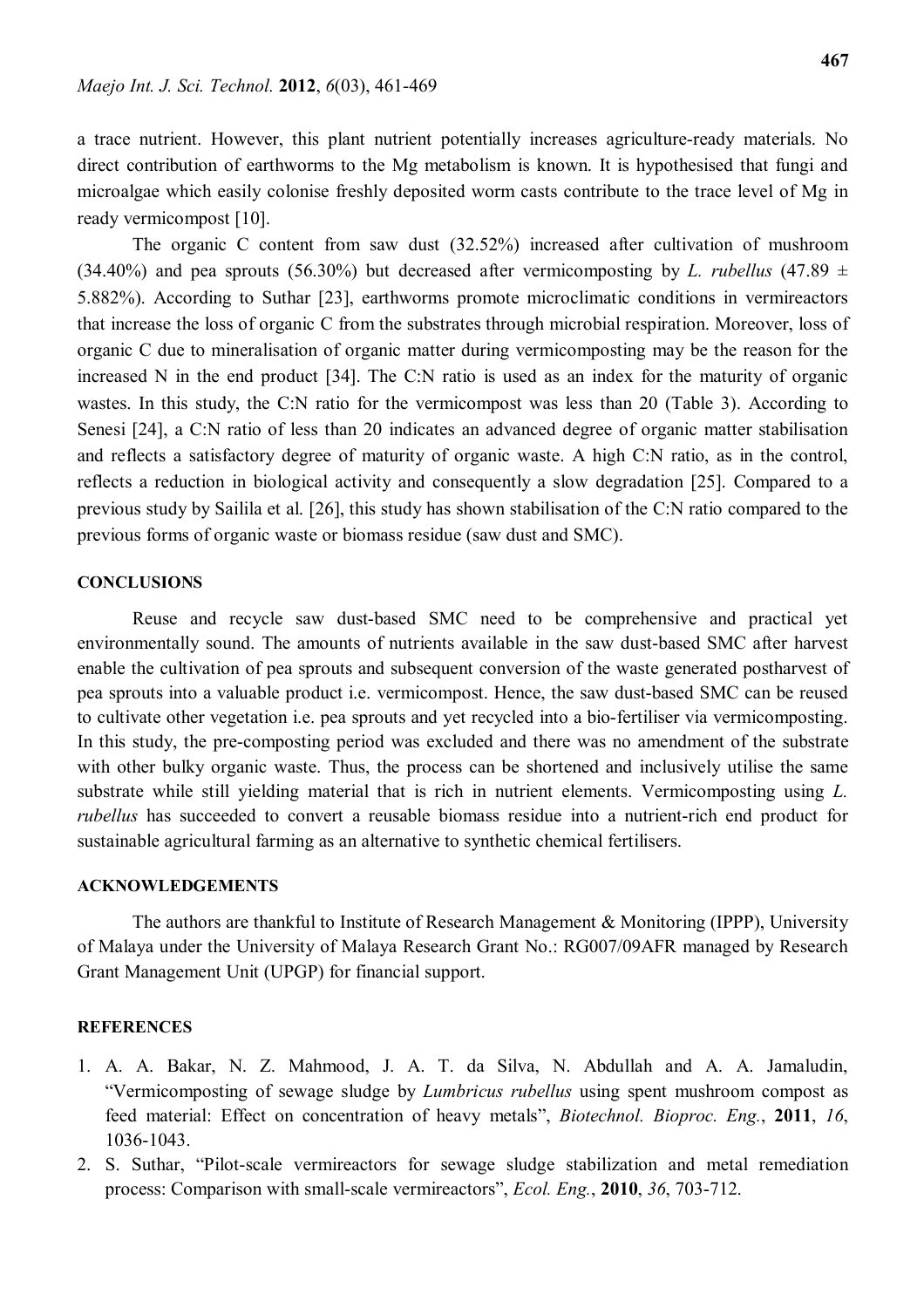a trace nutrient. However, this plant nutrient potentially increases agriculture-ready materials. No direct contribution of earthworms to the Mg metabolism is known. It is hypothesised that fungi and microalgae which easily colonise freshly deposited worm casts contribute to the trace level of Mg in ready vermicompost [10].

The organic C content from saw dust (32.52%) increased after cultivation of mushroom (34.40%) and pea sprouts (56.30%) but decreased after vermicomposting by *L. rubellus* (47.89  $\pm$ 5.882%). According to Suthar [23], earthworms promote microclimatic conditions in vermireactors that increase the loss of organic C from the substrates through microbial respiration. Moreover, loss of organic C due to mineralisation of organic matter during vermicomposting may be the reason for the increased N in the end product [34]. The C:N ratio is used as an index for the maturity of organic wastes. In this study, the C:N ratio for the vermicompost was less than 20 (Table 3). According to Senesi [24], a C:N ratio of less than 20 indicates an advanced degree of organic matter stabilisation and reflects a satisfactory degree of maturity of organic waste. A high C:N ratio, as in the control, reflects a reduction in biological activity and consequently a slow degradation [25]. Compared to a previous study by Sailila et al. [26], this study has shown stabilisation of the C:N ratio compared to the previous forms of organic waste or biomass residue (saw dust and SMC).

#### **CONCLUSIONS**

Reuse and recycle saw dust-based SMC need to be comprehensive and practical yet environmentally sound. The amounts of nutrients available in the saw dust-based SMC after harvest enable the cultivation of pea sprouts and subsequent conversion of the waste generated postharvest of pea sprouts into a valuable product i.e. vermicompost. Hence, the saw dust-based SMC can be reused to cultivate other vegetation i.e. pea sprouts and yet recycled into a bio-fertiliser via vermicomposting. In this study, the pre-composting period was excluded and there was no amendment of the substrate with other bulky organic waste. Thus, the process can be shortened and inclusively utilise the same substrate while still yielding material that is rich in nutrient elements. Vermicomposting using *L. rubellus* has succeeded to convert a reusable biomass residue into a nutrient-rich end product for sustainable agricultural farming as an alternative to synthetic chemical fertilisers.

#### **ACKNOWLEDGEMENTS**

The authors are thankful to Institute of Research Management & Monitoring (IPPP), University of Malaya under the University of Malaya Research Grant No.: RG007/09AFR managed by Research Grant Management Unit (UPGP) for financial support.

#### **REFERENCES**

- 1. A. A. Bakar, N. Z. Mahmood, J. A. T. da Silva, N. Abdullah and A. A. Jamaludin, "Vermicomposting of sewage sludge by *Lumbricus rubellus* using spent mushroom compost as feed material: Effect on concentration of heavy metals", *Biotechnol. Bioproc. Eng.*, **2011**, *16*, 1036-1043.
- 2. S. Suthar, "Pilot-scale vermireactors for sewage sludge stabilization and metal remediation process: Comparison with small-scale vermireactors", *Ecol. Eng.*, **2010**, *36*, 703-712.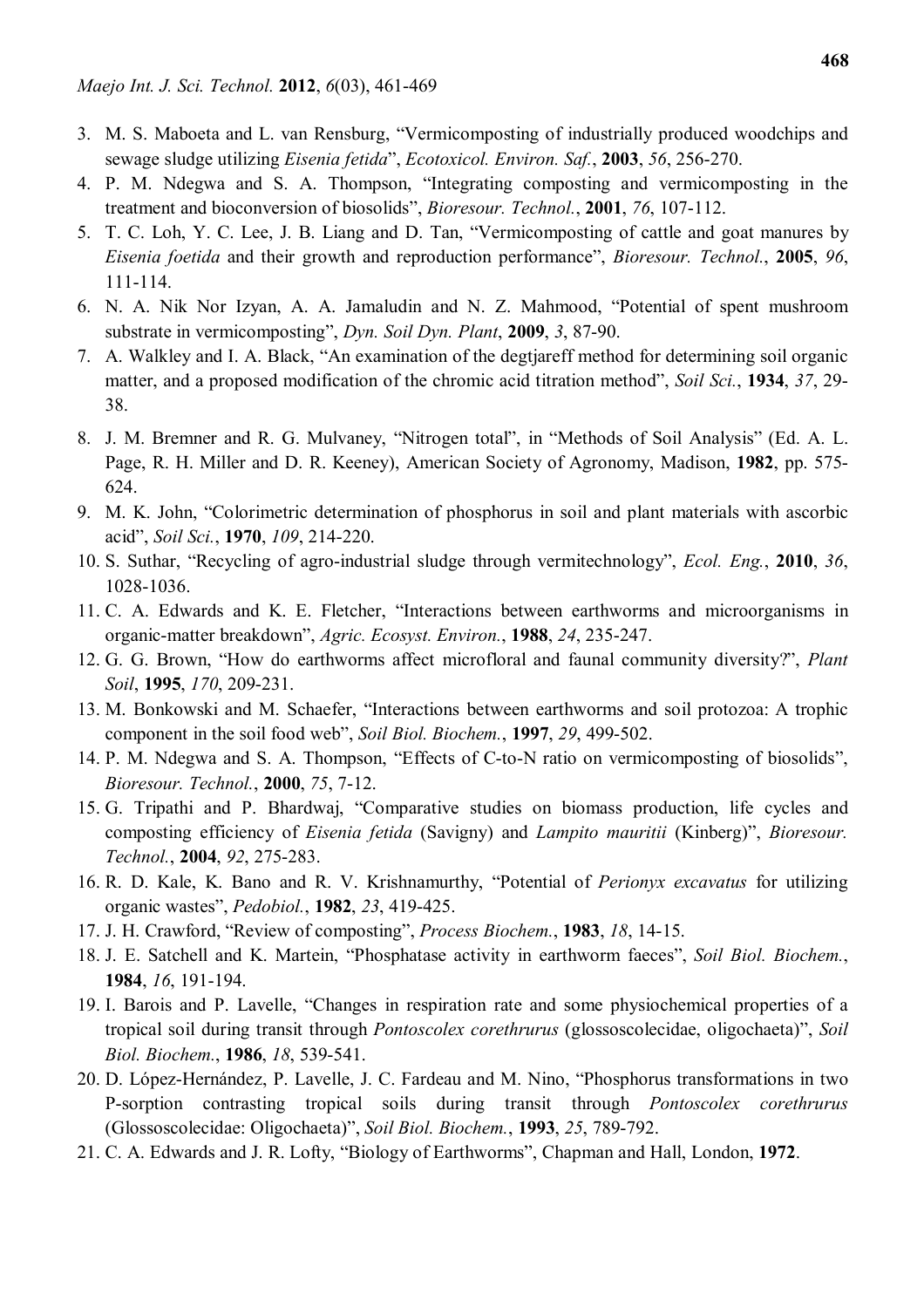- 3. M. S. Maboeta and L. van Rensburg, "Vermicomposting of industrially produced woodchips and sewage sludge utilizing *Eisenia fetida*", *Ecotoxicol. Environ. Saf.*, **2003**, *56*, 256-270.
- 4. P. M. Ndegwa and S. A. Thompson, "Integrating composting and vermicomposting in the treatment and bioconversion of biosolids", *Bioresour. Technol.*, **2001**, *76*, 107-112.
- 5. T. C. Loh, Y. C. Lee, J. B. Liang and D. Tan, "Vermicomposting of cattle and goat manures by *Eisenia foetida* and their growth and reproduction performance", *Bioresour. Technol.*, **2005**, *96*, 111-114.
- 6. N. A. Nik Nor Izyan, A. A. Jamaludin and N. Z. Mahmood, "Potential of spent mushroom substrate in vermicomposting", *Dyn. Soil Dyn. Plant*, **2009**, *3*, 87-90.
- 7. A. Walkley and I. A. Black, "An examination of the degtjareff method for determining soil organic matter, and a proposed modification of the chromic acid titration method", *Soil Sci.*, **1934**, *37*, 29- 38.
- 8. J. M. Bremner and R. G. Mulvaney, "Nitrogen total", in "Methods of Soil Analysis" (Ed. A. L. Page, R. H. Miller and D. R. Keeney), American Society of Agronomy, Madison, **1982**, pp. 575- 624.
- 9. M. K. John, "Colorimetric determination of phosphorus in soil and plant materials with ascorbic acid", *Soil Sci.*, **1970**, *109*, 214-220.
- 10. S. Suthar, "Recycling of agro-industrial sludge through vermitechnology", *Ecol. Eng.*, **2010**, *36*, 1028-1036.
- 11. C. A. Edwards and K. E. Fletcher, "Interactions between earthworms and microorganisms in organic-matter breakdown", *Agric. Ecosyst. Environ.*, **1988**, *24*, 235-247.
- 12. G. G. Brown, "How do earthworms affect microfloral and faunal community diversity?", *Plant Soil*, **1995**, *170*, 209-231.
- 13. M. Bonkowski and M. Schaefer, "Interactions between earthworms and soil protozoa: A trophic component in the soil food web", *Soil Biol. Biochem.*, **1997**, *29*, 499-502.
- 14. P. M. Ndegwa and S. A. Thompson, "Effects of C-to-N ratio on vermicomposting of biosolids", *Bioresour. Technol.*, **2000**, *75*, 7-12.
- 15. G. Tripathi and P. Bhardwaj, "Comparative studies on biomass production, life cycles and composting efficiency of *Eisenia fetida* (Savigny) and *Lampito mauritii* (Kinberg)", *Bioresour. Technol.*, **2004**, *92*, 275-283.
- 16. R. D. Kale, K. Bano and R. V. Krishnamurthy, "Potential of *Perionyx excavatus* for utilizing organic wastes", *Pedobiol.*, **1982**, *23*, 419-425.
- 17. J. H. Crawford, "Review of composting", *Process Biochem.*, **1983**, *18*, 14-15.
- 18. J. E. Satchell and K. Martein, "Phosphatase activity in earthworm faeces", *Soil Biol. Biochem.*, **1984**, *16*, 191-194.
- 19. I. Barois and P. Lavelle, "Changes in respiration rate and some physiochemical properties of a tropical soil during transit through *Pontoscolex corethrurus* (glossoscolecidae, oligochaeta)", *Soil Biol. Biochem.*, **1986**, *18*, 539-541.
- 20. D. López-Hernández, P. Lavelle, J. C. Fardeau and M. Nino, "Phosphorus transformations in two P-sorption contrasting tropical soils during transit through *Pontoscolex corethrurus* (Glossoscolecidae: Oligochaeta)", *Soil Biol. Biochem.*, **1993**, *25*, 789-792.
- 21. C. A. Edwards and J. R. Lofty, "Biology of Earthworms", Chapman and Hall, London, **1972**.